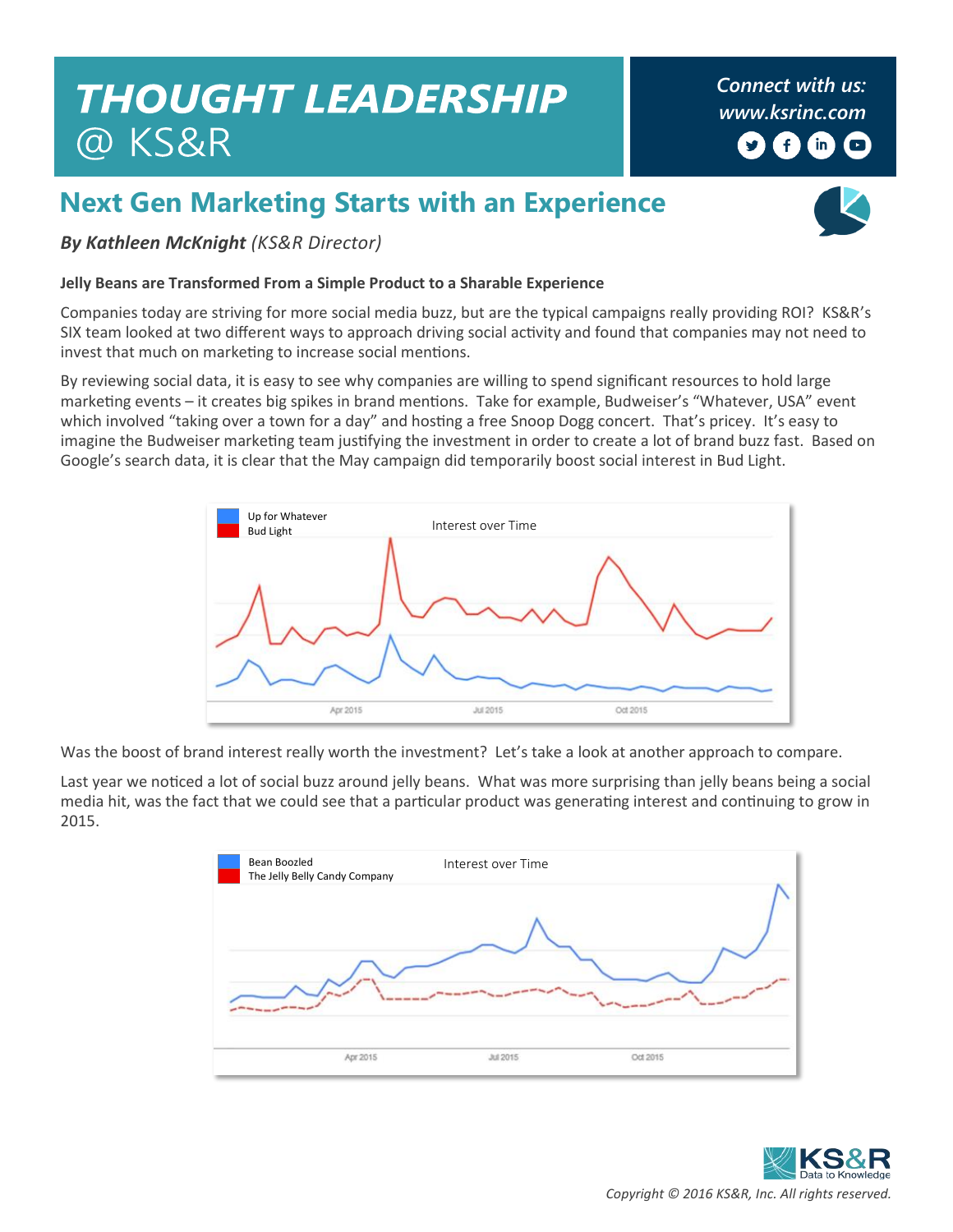## **THOUGHT LEADERSHIP** @ KS&R

*Connect with us: [www.ksrinc.com](http://www.ksrinc.com/)* y)  $\left( \begin{matrix} 1 \\ 1 \end{matrix} \right)$  $(m)$  $\Box$ 

## **Next Gen Marketing Starts with an Experience**



*By Kathleen McKnight (KS&R Director)*

## **Jelly Beans are Transformed From a Simple Product to a Sharable Experience**

Companies today are striving for more social media buzz, but are the typical campaigns really providing ROI? KS&R's SIX team looked at two different ways to approach driving social activity and found that companies may not need to invest that much on marketing to increase social mentions.

By reviewing social data, it is easy to see why companies are willing to spend significant resources to hold large marketing events – it creates big spikes in brand mentions. Take for example, Budweiser's "Whatever, USA" event which involved "taking over a town for a day" and hosting a free Snoop Dogg concert. That's pricey. It's easy to imagine the Budweiser marketing team justifying the investment in order to create a lot of brand buzz fast. Based on Google's search data, it is clear that the May campaign did temporarily boost social interest in Bud Light.



Was the boost of brand interest really worth the investment? Let's take a look at another approach to compare.

Last year we noticed a lot of social buzz around jelly beans. What was more surprising than jelly beans being a social media hit, was the fact that we could see that a particular product was generating interest and continuing to grow in 2015.